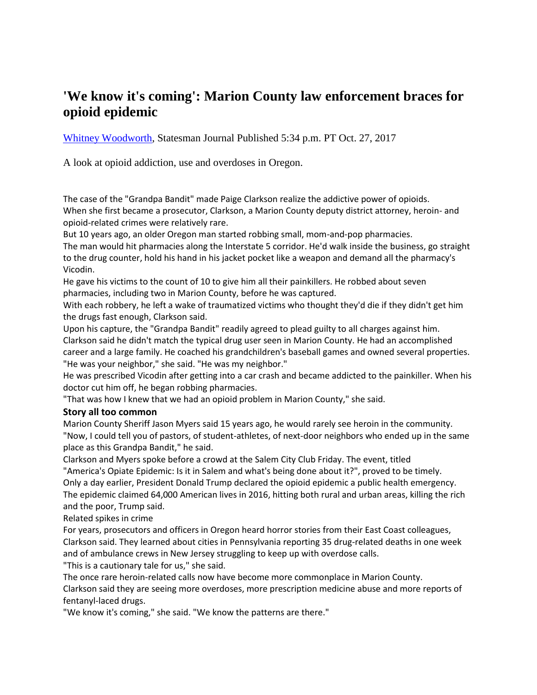## **'We know it's coming': Marion County law enforcement braces for opioid epidemic**

[Whitney Woodworth,](http://www.statesmanjournal.com/staff/10047274/whitney-woodworth/) Statesman Journal Published 5:34 p.m. PT Oct. 27, 2017

A look at opioid addiction, use and overdoses in Oregon.

The case of the "Grandpa Bandit" made Paige Clarkson realize the addictive power of opioids. When she first became a prosecutor, Clarkson, a Marion County deputy district attorney, heroin- and opioid-related crimes were relatively rare.

But 10 years ago, an older Oregon man started robbing small, mom-and-pop pharmacies.

The man would hit pharmacies along the Interstate 5 corridor. He'd walk inside the business, go straight to the drug counter, hold his hand in his jacket pocket like a weapon and demand all the pharmacy's Vicodin.

He gave his victims to the count of 10 to give him all their painkillers. He robbed about seven pharmacies, including two in Marion County, before he was captured.

With each robbery, he left a wake of traumatized victims who thought they'd die if they didn't get him the drugs fast enough, Clarkson said.

Upon his capture, the "Grandpa Bandit" readily agreed to plead guilty to all charges against him. Clarkson said he didn't match the typical drug user seen in Marion County. He had an accomplished career and a large family. He coached his grandchildren's baseball games and owned several properties. "He was your neighbor," she said. "He was my neighbor."

He was prescribed Vicodin after getting into a car crash and became addicted to the painkiller. When his doctor cut him off, he began robbing pharmacies.

"That was how I knew that we had an opioid problem in Marion County," she said.

## **Story all too common**

Marion County Sheriff Jason Myers said 15 years ago, he would rarely see heroin in the community. "Now, I could tell you of pastors, of student-athletes, of next-door neighbors who ended up in the same place as this Grandpa Bandit," he said.

Clarkson and Myers spoke before a crowd at the Salem City Club Friday. The event, titled "America's Opiate Epidemic: Is it in Salem and what's being done about it?", proved to be timely.

Only a day earlier, President Donald Trump declared the opioid epidemic a public health emergency. The epidemi[c claimed 64,000 American lives in 2016,](http://www.statesmanjournal.com/story/news/politics/2017/10/26/exclusive-trump-declare-public-health-emergency-opioid-crisis-partial-measure-figh/796797001/) hitting both rural and urban areas, killing the rich and the poor, Trump said.

Related spikes in crime

For years, prosecutors and officers in Oregon heard horror stories from their East Coast colleagues, Clarkson said. They learned about cities in Pennsylvania reporting 35 drug-related deaths in one week and of ambulance crews in New Jersey struggling to keep up with overdose calls.

"This is a cautionary tale for us," she said.

The once rare heroin-related calls now have become more commonplace in Marion County. Clarkson said they are seeing more overdoses, more prescription medicine abuse and more reports of fentanyl-laced drugs.

"We know it's coming," she said. "We know the patterns are there."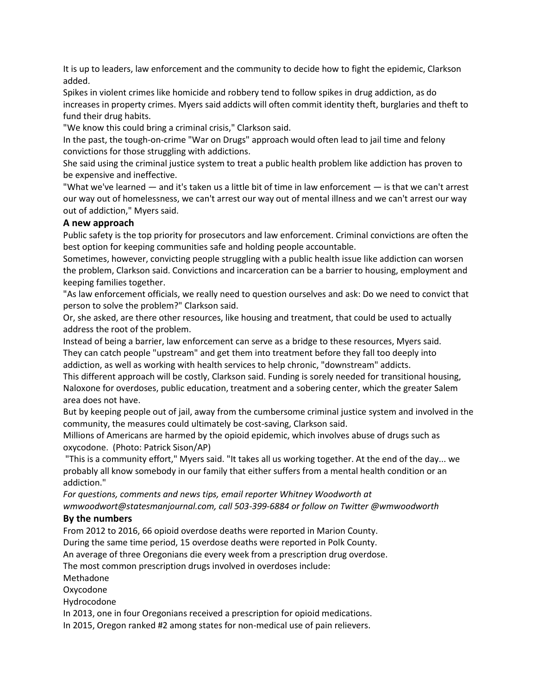It is up to leaders, law enforcement and the community to decide how to fight the epidemic, Clarkson added.

Spikes in violent crimes like homicide and robbery tend to follow spikes in drug addiction, as do increases in property crimes. Myers said addicts will often commit identity theft, burglaries and theft to fund their drug habits.

"We know this could bring a criminal crisis," Clarkson said.

In the past, the tough-on-crime "War on Drugs" approach would often lead to jail time and felony convictions for those struggling with addictions.

She said using the criminal justice system to treat a public health problem like addiction has proven to be expensive and ineffective.

"What we've learned — and it's taken us a little bit of time in law enforcement — is that we can't arrest our way out of homelessness, we can't arrest our way out of mental illness and we can't arrest our way out of addiction," Myers said.

## **A new approach**

Public safety is the top priority for prosecutors and law enforcement. Criminal convictions are often the best option for keeping communities safe and holding people accountable.

Sometimes, however, convicting people struggling with a public health issue like addiction can worsen the problem, Clarkson said. Convictions and incarceration can be a barrier to housing, employment and keeping families together.

"As law enforcement officials, we really need to question ourselves and ask: Do we need to convict that person to solve the problem?" Clarkson said.

Or, she asked, are there other resources, like housing and treatment, that could be used to actually address the root of the problem.

Instead of being a barrier, law enforcement can serve as a bridge to these resources, Myers said. They can catch people "upstream" and get them into treatment before they fall too deeply into addiction, as well as working with health services to help chronic, "downstream" addicts.

This different approach will be costly, Clarkson said. Funding is sorely needed for transitional housing, Naloxone for overdoses, public education, treatment and a sobering center, which the greater Salem

area does not have.

But by keeping people out of jail, away from the cumbersome criminal justice system and involved in the community, the measures could ultimately be cost-saving, Clarkson said.

Millions of Americans are harmed by the opioid epidemic, which involves abuse of drugs such as oxycodone. (Photo: Patrick Sison/AP)

"This is a community effort," Myers said. "It takes all us working together. At the end of the day... we probably all know somebody in our family that either suffers from a mental health condition or an addiction."

*For questions, comments and news tips, email reporter Whitney Woodworth at wmwoodwort@statesmanjournal.com, call 503-399-6884 or follow on Twitter @wmwoodworth*

## **By the numbers**

From 2012 to 2016, 66 opioid overdose deaths were reported in Marion County.

During the same time period, 15 overdose deaths were reported in Polk County.

An average of three Oregonians die every week from a prescription drug overdose.

The most common prescription drugs involved in overdoses include:

Methadone

Oxycodone

Hydrocodone

In 2013, one in four Oregonians received a prescription for opioid medications.

In 2015, Oregon ranked #2 among states for non-medical use of pain relievers.